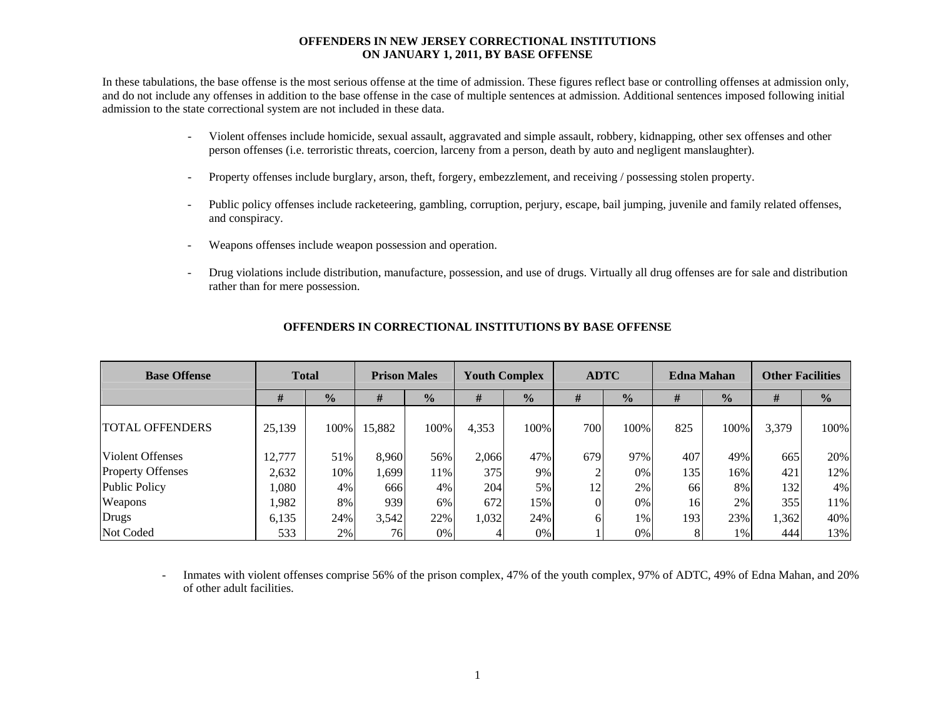#### **OFFENDERS IN NEW JERSEY CORRECTIONAL INSTITUTIONS ON JANUARY 1, 2011, BY BASE OFFENSE**

In these tabulations, the base offense is the most serious offense at the time of admission. These figures reflect base or controlling offenses at admission only, and do not include any offenses in addition to the base offense in the case of multiple sentences at admission. Additional sentences imposed following initial admission to the state correctional system are not included in these data.

- - Violent offenses include homicide, sexual assault, aggravated and simple assault, robbery, kidnapping, other sex offenses and other person offenses (i.e. terroristic threats, coercion, larceny from a person, death by auto and negligent manslaughter).
- Property offenses include burglary, arson, theft, forgery, embezzlement, and receiving / possessing stolen property.
- Public policy offenses include racketeering, gambling, corruption, perjury, escape, bail jumping, juvenile and family related offenses, and conspiracy.
- Weapons offenses include weapon possession and operation.
- Drug violations include distribution, manufacture, possession, and use of drugs. Virtually all drug offenses are for sale and distribution rather than for mere possession.

| <b>Base Offense</b>      | <b>Total</b> |               | <b>Prison Males</b> |               | <b>Youth Complex</b> |               | <b>ADTC</b> |               |     | <b>Edna Mahan</b> | <b>Other Facilities</b> |               |  |
|--------------------------|--------------|---------------|---------------------|---------------|----------------------|---------------|-------------|---------------|-----|-------------------|-------------------------|---------------|--|
|                          | #            | $\frac{1}{2}$ | #                   | $\frac{0}{0}$ | #                    | $\frac{1}{2}$ | #           | $\frac{0}{0}$ | #   | $\frac{0}{0}$     | #                       | $\frac{0}{0}$ |  |
| <b>TOTAL OFFENDERS</b>   | 25,139       | 100%          | 15,882              | 100%          | 4,353                | 100%          | 700         | 100%          | 825 | 100%              | 3,379                   | 100%          |  |
| Violent Offenses         | 12,777       | 51%           | 8,960               | 56%           | 2,066                | 47%           | 679         | 97%           | 407 | 49%               | 665                     | 20%           |  |
| <b>Property Offenses</b> | 2,632        | 10%           | 1,699               | 11%           | 375                  | 9%            |             | 0%            | 135 | 16%               | 421                     | 12%           |  |
| <b>Public Policy</b>     | 1,080        | 4%            | 666                 | 4%            | 204                  | 5%            | 12          | 2%            | 66  | 8%                | 1321                    | 4%            |  |
| Weapons                  | 1,982        | 8%            | 939                 | 6%            | 672                  | 15%           |             | 0%            | 16  | 2%                | 355                     | 11%           |  |
| Drugs                    | 6,135        | 24%           | 3,542               | 22%           | 1,032                | 24%           |             | 1%            | 193 | 23%               | 1,362                   | 40%           |  |
| Not Coded                | 533          | 2%            | 76                  | $0\%$         |                      | 0%            |             | 0%            |     | 1%                | 444                     | 13%           |  |

### **OFFENDERS IN CORRECTIONAL INSTITUTIONS BY BASE OFFENSE**

- Inmates with violent offenses comprise 56% of the prison complex, 47% of the youth complex, 97% of ADTC, 49% of Edna Mahan, and 20% of other adult facilities.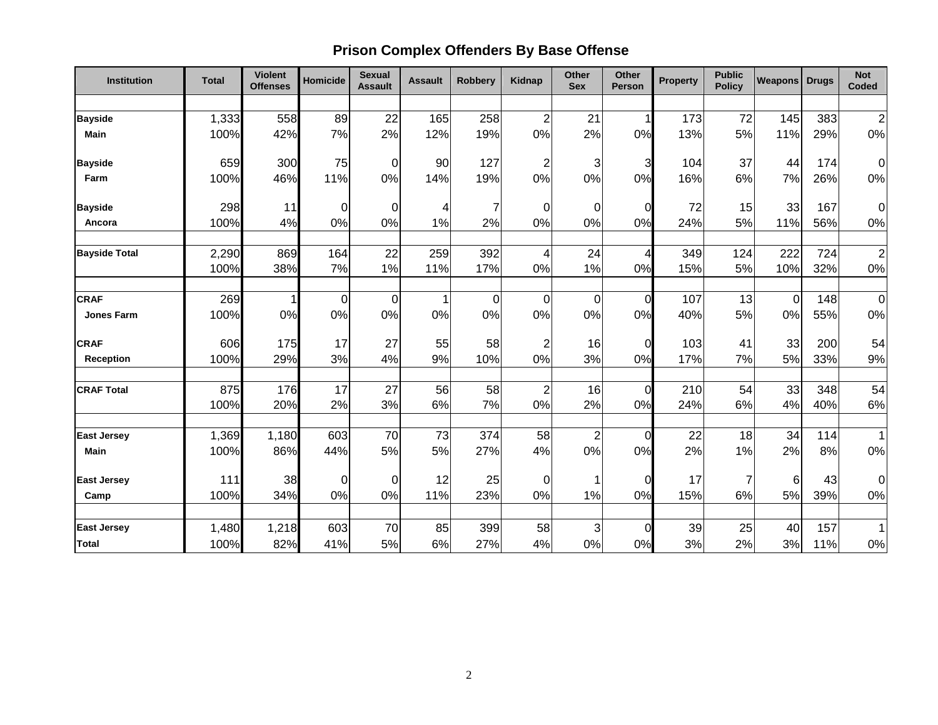# **Prison Complex Offenders By Base Offense**

| Institution          | <b>Total</b> | <b>Violent</b><br><b>Offenses</b> | <b>Homicide</b> | <b>Sexual</b><br><b>Assault</b> | <b>Assault</b> | <b>Robbery</b> | <b>Kidnap</b>           | Other<br><b>Sex</b> | Other<br><b>Person</b> | <b>Property</b> | <b>Public</b><br><b>Policy</b> | Weapons     | <b>Drugs</b> | <b>Not</b><br>Coded |
|----------------------|--------------|-----------------------------------|-----------------|---------------------------------|----------------|----------------|-------------------------|---------------------|------------------------|-----------------|--------------------------------|-------------|--------------|---------------------|
|                      |              |                                   |                 |                                 |                |                |                         |                     |                        |                 |                                |             |              |                     |
| <b>Bayside</b>       | 1,333        | 558                               | 89              | 22                              | 165            | 258            | $\overline{c}$          | 21                  |                        | 173             | 72                             | 145         | 383          | $\overline{2}$      |
| <b>Main</b>          | 100%         | 42%                               | 7%              | 2%                              | 12%            | 19%            | 0%                      | 2%                  | 0%                     | 13%             | 5%                             | 11%         | 29%          | $0\%$               |
| <b>Bayside</b>       | 659          | 300                               | 75              | $\overline{0}$                  | 90             | 127            | $\overline{c}$          | 3                   | 3                      | 104             | 37                             | 44          | 174          | $\overline{0}$      |
| Farm                 | 100%         | 46%                               | 11%             | 0%                              | 14%            | 19%            | 0%                      | 0%                  | 0%                     | 16%             | 6%                             | 7%          | 26%          | $0\%$               |
| <b>Bayside</b>       | 298          | 11                                | $\mathbf 0$     | $\overline{0}$                  | 4              |                | 0                       | $\mathbf 0$         | $\Omega$               | 72              | 15                             | 33          | 167          | $\overline{0}$      |
| Ancora               | 100%         | 4%                                | 0%              | 0%                              | 1%             | 2%             | 0%                      | 0%                  | 0%                     | 24%             | 5%                             | 11%         | 56%          | 0%                  |
| <b>Bayside Total</b> | 2,290        | 869                               | 164             | 22                              | 259            | 392            | $\overline{4}$          | 24                  | 4                      | 349             | 124                            | 222         | 724          | $\overline{2}$      |
|                      | 100%         | 38%                               | 7%              | 1%                              | 11%            | 17%            | 0%                      | 1%                  | 0%                     | 15%             | 5%                             | 10%         | 32%          | 0%                  |
| <b>CRAF</b>          | 269          |                                   | $\pmb{0}$       | $\overline{0}$                  | 1              | $\Omega$       | $\mathbf 0$             | $\pmb{0}$           | $\Omega$               | 107             | 13                             | $\mathbf 0$ | 148          | $\overline{0}$      |
| <b>Jones Farm</b>    | 100%         | 0%                                | 0%              | 0%                              | 0%             | 0%             | 0%                      | 0%                  | 0%                     | 40%             | 5%                             | 0%          | 55%          | $0\%$               |
| <b>CRAF</b>          | 606          | 175                               | 17              | 27                              | 55             | 58             | $\overline{\mathbf{c}}$ | 16                  | $\Omega$               | 103             | 41                             | 33          | 200          | 54                  |
| <b>Reception</b>     | 100%         | 29%                               | 3%              | 4%                              | 9%             | 10%            | 0%                      | 3%                  | 0%                     | 17%             | 7%                             | 5%          | 33%          | 9%                  |
| <b>CRAF Total</b>    | 875          | 176                               | 17              | 27                              | 56             | 58             | $\overline{2}$          | 16                  | $\overline{0}$         | 210             | 54                             | 33          | 348          | 54                  |
|                      | 100%         | 20%                               | 2%              | 3%                              | 6%             | 7%             | 0%                      | 2%                  | 0%                     | 24%             | 6%                             | 4%          | 40%          | $6\%$               |
| <b>East Jersey</b>   | 1,369        | 1,180                             | 603             | 70                              | 73             | 374            | 58                      | $\overline{c}$      | $\Omega$               | 22              | 18                             | 34          | 114          | $\vert$ 1           |
| Main                 | 100%         | 86%                               | 44%             | 5%                              | 5%             | 27%            | 4%                      | 0%                  | 0%                     | 2%              | 1%                             | 2%          | 8%           | 0%                  |
| <b>East Jersey</b>   | 111          | 38                                | $\pmb{0}$       | $\overline{O}$                  | 12             | 25             | 0                       | 1                   | $\Omega$               | 17              | 7                              | 6           | 43           | $\overline{0}$      |
| Camp                 | 100%         | 34%                               | 0%              | 0%                              | 11%            | 23%            | 0%                      | 1%                  | 0%                     | 15%             | 6%                             | 5%          | 39%          | 0%                  |
|                      |              |                                   |                 |                                 |                |                |                         |                     |                        |                 |                                |             |              |                     |
| <b>East Jersey</b>   | 1,480        | 1,218                             | 603             | 70                              | 85             | 399            | 58                      | 3                   | $\Omega$               | 39              | 25                             | 40          | 157          | $\mathbf{1}$        |
| <b>Total</b>         | 100%         | 82%                               | 41%             | 5%                              | 6%             | 27%            | 4%                      | 0%                  | 0%                     | 3%              | 2%                             | 3%          | 11%          | $0\%$               |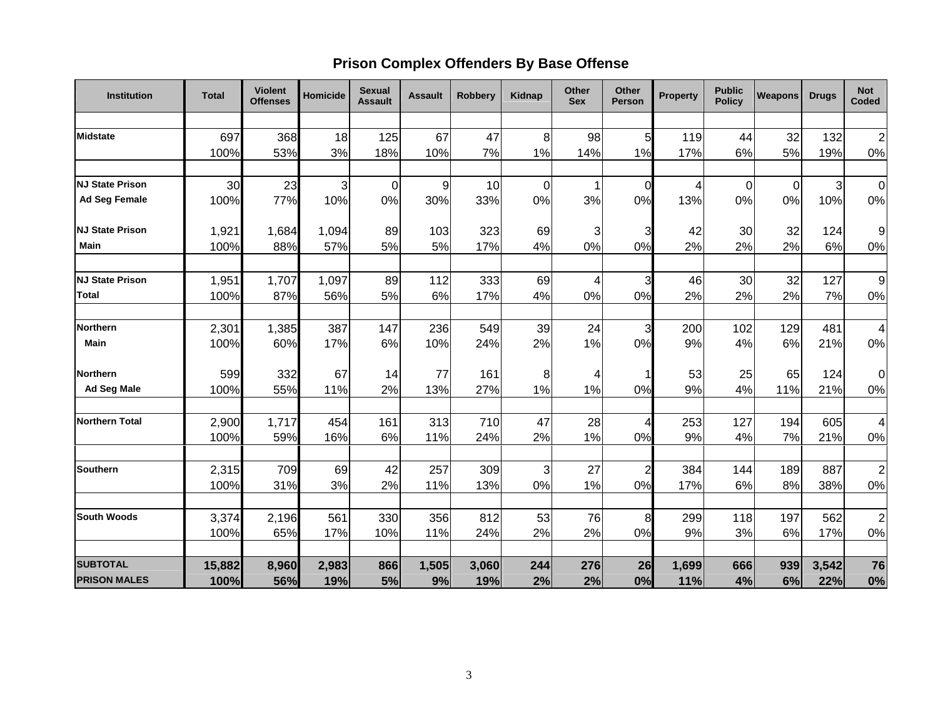# **Prison Complex Offenders By Base Offense**

| <b>Institution</b>     | <b>Total</b> | <b>Violent</b><br><b>Offenses</b> | <b>Homicide</b> | <b>Sexual</b><br><b>Assault</b> | <b>Assault</b> | <b>Robberv</b> | Kidnap   | Other<br><b>Sex</b> | Other<br><b>Person</b> | <b>Property</b> | <b>Public</b><br><b>Policy</b> | <b>Weapons</b> | <b>Drugs</b> | <b>Not</b><br>Coded |
|------------------------|--------------|-----------------------------------|-----------------|---------------------------------|----------------|----------------|----------|---------------------|------------------------|-----------------|--------------------------------|----------------|--------------|---------------------|
|                        |              |                                   |                 |                                 |                |                |          |                     |                        |                 |                                |                |              |                     |
| <b>Midstate</b>        | 697          | 368                               | 18              | 125                             | 67             | 47             | 8        | 98                  | 5                      | 119             | 44                             | 32             | 132          | $\overline{2}$      |
|                        | 100%         | 53%                               | 3%              | 18%                             | 10%            | 7%             | 1%       | 14%                 | 1%                     | 17%             | 6%                             | 5%             | 19%          | 0%                  |
| <b>NJ State Prison</b> | 30           | 23                                | 3               | $\mathbf 0$                     | 9              | 10             | $\Omega$ | 1                   | $\Omega$               | 4               | $\Omega$                       | $\mathbf 0$    | 3            | $\overline{0}$      |
| <b>Ad Seg Female</b>   | 100%         | 77%                               | 10%             | 0%                              | 30%            | 33%            | 0%       | 3%                  | 0%                     | 13%             | 0%                             | 0%             | 10%          | $0\%$               |
| <b>NJ State Prison</b> | 1,921        | 1,684                             | 1,094           | 89                              | 103            | 323            | 69       | 3                   | 3                      | 42              | 30                             | 32             | 124          | 9                   |
| <b>Main</b>            | 100%         | 88%                               | 57%             | 5%                              | 5%             | 17%            | 4%       | 0%                  | 0%                     | 2%              | 2%                             | 2%             | 6%           | 0%                  |
|                        |              |                                   |                 |                                 |                |                |          |                     |                        |                 |                                |                |              |                     |
| <b>NJ State Prison</b> | 1,951        | 1,707                             | 1,097           | 89                              | 112            | 333            | 69       | 4                   | 3                      | 46              | 30                             | 32             | 127          | $\boldsymbol{9}$    |
| Total                  | 100%         | 87%                               | 56%             | 5%                              | 6%             | 17%            | 4%       | 0%                  | 0%                     | 2%              | 2%                             | 2%             | 7%           | 0%                  |
| <b>Northern</b>        | 2,301        | 1,385                             | 387             | 147                             | 236            | 549            | 39       | 24                  | 3                      | 200             | 102                            | 129            | 481          | 4                   |
| <b>Main</b>            | 100%         | 60%                               | 17%             | 6%                              | 10%            | 24%            | 2%       | 1%                  | 0%                     | 9%              | 4%                             | 6%             | 21%          | 0%                  |
| <b>Northern</b>        | 599          | 332                               | 67              | 14                              | 77             | 161            | 8        | 4                   |                        | 53              | 25                             | 65             | 124          | 0                   |
| Ad Seg Male            | 100%         | 55%                               | 11%             | 2%                              | 13%            | 27%            | 1%       | 1%                  | 0%                     | 9%              | 4%                             | 11%            | 21%          | 0%                  |
| <b>Northern Total</b>  | 2,900        | 1,717                             | 454             | 161                             | 313            | 710            | 47       | 28                  | 4                      | 253             | 127                            | 194            | 605          | 4                   |
|                        | 100%         | 59%                               | 16%             | 6%                              | 11%            | 24%            | 2%       | 1%                  | 0%                     | 9%              | 4%                             | 7%             | 21%          | 0%                  |
|                        |              |                                   |                 |                                 |                |                |          |                     |                        |                 |                                |                |              |                     |
| <b>Southern</b>        | 2,315        | 709                               | 69              | 42                              | 257            | 309            | 3        | 27                  | $\overline{2}$         | 384             | 144                            | 189            | 887          | $\overline{2}$      |
|                        | 100%         | 31%                               | 3%              | 2%                              | 11%            | 13%            | 0%       | 1%                  | 0%                     | 17%             | 6%                             | 8%             | 38%          | 0%                  |
| <b>South Woods</b>     | 3,374        | 2,196                             | 561             | 330                             | 356            | 812            | 53       | 76                  | 8                      | 299             | 118                            | 197            | 562          | $\overline{c}$      |
|                        | 100%         | 65%                               | 17%             | 10%                             | 11%            | 24%            | 2%       | 2%                  | 0%                     | 9%              | 3%                             | 6%             | 17%          | 0%                  |
| <b>SUBTOTAL</b>        | 15,882       | 8,960                             | 2,983           | 866                             | 1,505          | 3,060          | 244      | 276                 | 26                     | 1,699           | 666                            | 939            | 3,542        | 76                  |
| <b>PRISON MALES</b>    | 100%         | 56%                               | 19%             | 5%                              | 9%             | 19%            | 2%       | 2%                  | 0%                     | 11%             | 4%                             | 6%             | 22%          | 0%                  |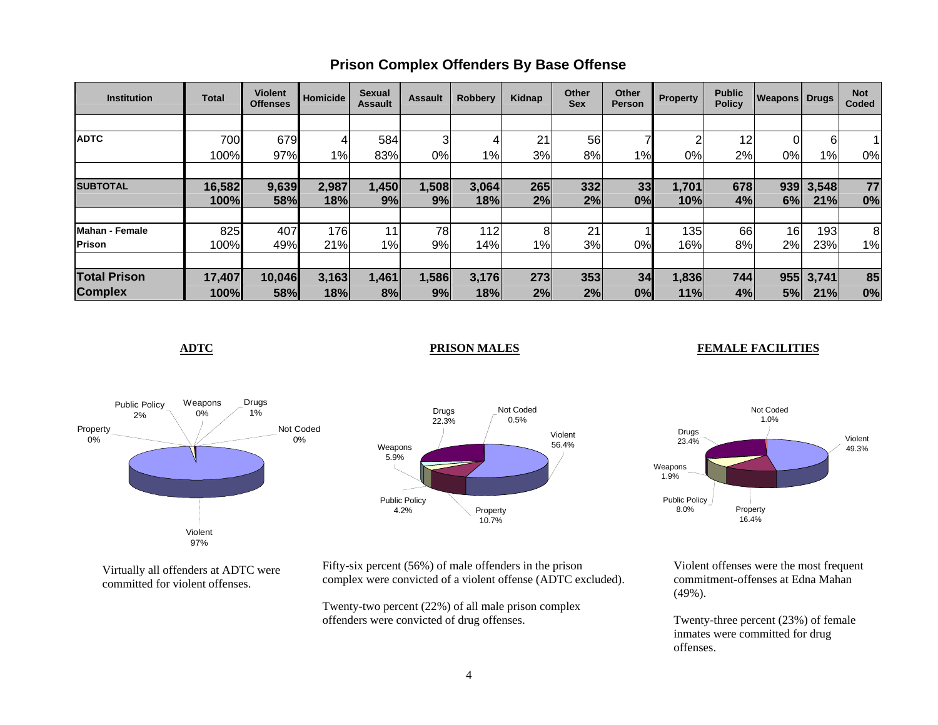| <b>Institution</b>  | <b>Total</b> | <b>Violent</b><br><b>Offenses</b> | <b>Homicide</b> | <b>Sexual</b><br><b>Assault</b> | <b>Assault</b> | <b>Robbery</b> | Kidnap | <b>Other</b><br><b>Sex</b> | Other<br><b>Person</b> | <b>Property</b> | <b>Public</b><br><b>Policy</b> | <b>Weapons Drugs</b> |       | <b>Not</b><br>Coded |
|---------------------|--------------|-----------------------------------|-----------------|---------------------------------|----------------|----------------|--------|----------------------------|------------------------|-----------------|--------------------------------|----------------------|-------|---------------------|
|                     |              |                                   |                 |                                 |                |                |        |                            |                        |                 |                                |                      |       |                     |
| <b>ADTC</b>         | 700          | 679                               |                 | 584                             | 3              |                | 21     | 56                         |                        |                 | 12 <sub>1</sub>                |                      | 6     |                     |
|                     | 100%         | 97%                               | $1\%$           | 83%                             | 0%             | $1\%$          | 3%     | 8%l                        | 1%                     | 0%              | 2%                             | 0%                   | $1\%$ | 0%                  |
|                     |              |                                   |                 |                                 |                |                |        |                            |                        |                 |                                |                      |       |                     |
| <b>SUBTOTAL</b>     | 16,582       | 9,639                             | 2,987           | 1,450                           | 1,508          | 3,064          | 265    | 332                        | 33                     | 1,701           | 678                            | 939                  | 3,548 | 77                  |
|                     | 100%         | 58%                               | 18%             | 9%                              | 9%             | 18%            | 2%     | 2%                         | 0%                     | 10%             | 4%                             | 6%                   | 21%   | 0%                  |
|                     |              |                                   |                 |                                 |                |                |        |                            |                        |                 |                                |                      |       |                     |
| Mahan - Female      | 825          | 407                               | 176             | 11                              | 78             | 112            | 8      | 21                         |                        | 135             | 66                             | 16                   | 193   | 8                   |
| <b>Prison</b>       | 100%         | 49%                               | 21%             | $1\%$                           | 9%             | 14%            | 1%     | 3%                         | 0%                     | 16%             | 8%                             | 2%                   | 23%   | $1\%$               |
|                     |              |                                   |                 |                                 |                |                |        |                            |                        |                 |                                |                      |       |                     |
| <b>Total Prison</b> | 17,407       | 10,046                            | 3,163           | 1,461                           | 1,586          | 3,176          | 273    | 353                        | 34                     | 1,836           | 744                            | 955                  | 3,741 | 85                  |
| <b>Complex</b>      | 100%         | 58%                               | 18%             | 8%                              | 9%             | 18%            | 2%     | 2%                         | 0%                     | 11%             | 4%                             | 5%                   | 21%   | 0%                  |

## **Prison Complex Offenders By Base Offense**

**ADTC**

#### **PRISON MALES FEMALE FACILITIES**







Virtually all offenders at ADTC were committed for violent offenses.

Fifty-six percent (56%) of male offenders in the prison complex were convicted of a violent offense (ADTC excluded).

Twenty-two percent (22%) of all male prison complex offenders were convicted of drug offenses.

Violent offenses were the most frequent commitment-offenses at Edna Mahan (49%).

Twenty-three percent (23%) of female inmates were committed for drug offenses.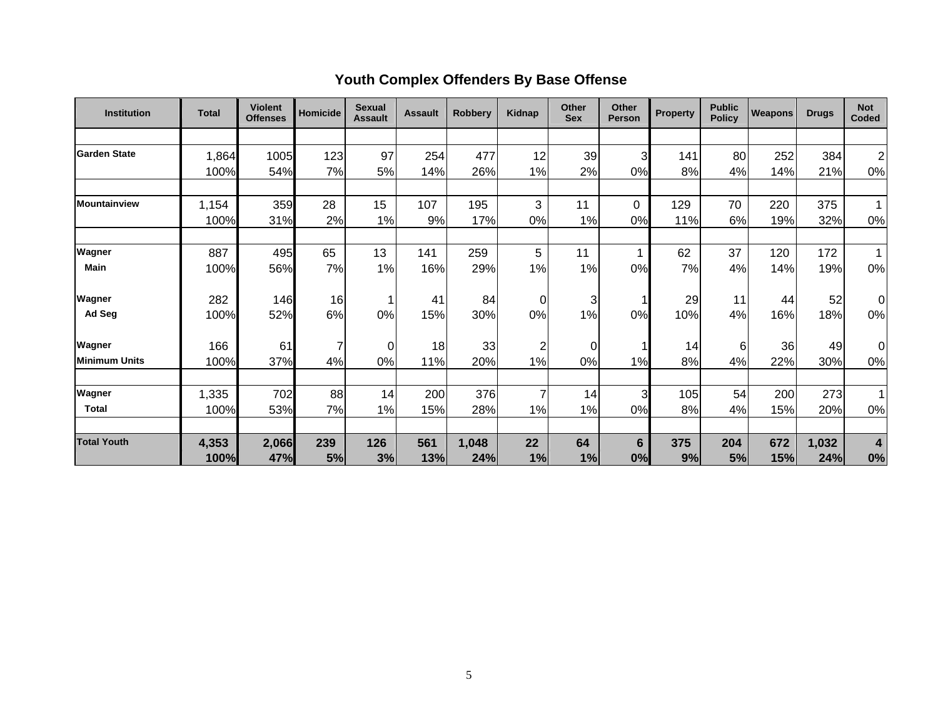# **Youth Complex Offenders By Base Offense**

| <b>Institution</b>   | <b>Total</b> | <b>Violent</b><br><b>Offenses</b> | <b>Homicide</b> | <b>Sexual</b><br><b>Assault</b> | <b>Assault</b> | <b>Robberv</b> | Kidnap         | <b>Other</b><br><b>Sex</b> | Other<br><b>Person</b> | <b>Property</b> | <b>Public</b><br><b>Policy</b> | Weapons | <b>Drugs</b> | <b>Not</b><br>Coded     |
|----------------------|--------------|-----------------------------------|-----------------|---------------------------------|----------------|----------------|----------------|----------------------------|------------------------|-----------------|--------------------------------|---------|--------------|-------------------------|
|                      |              |                                   |                 |                                 |                |                |                |                            |                        |                 |                                |         |              |                         |
| <b>Garden State</b>  | 1,864        | 1005                              | 123             | 97                              | 254            | 477            | 12             | 39                         | 3                      | 141             | 80                             | 252     | 384          | $\overline{c}$          |
|                      | 100%         | 54%                               | 7%              | 5%                              | 14%            | 26%            | 1%             | 2%                         | 0%                     | 8%              | 4%                             | 14%     | 21%          | 0%                      |
|                      |              |                                   |                 |                                 |                |                |                |                            |                        |                 |                                |         |              |                         |
| <b>Mountainview</b>  | 1,154        | 359                               | 28              | 15                              | 107            | 195            | 3              | 11                         | 0                      | 129             | 70                             | 220     | 375          | $\overline{ }$          |
|                      | 100%         | 31%                               | 2%              | 1%                              | 9%             | 17%            | 0%             | 1%                         | 0%                     | 11%             | 6%                             | 19%     | 32%          | 0%                      |
| Wagner               | 887          | 495                               | 65              | 13                              | 141            | 259            | 5              | 11                         |                        | 62              | 37                             | 120     | 172          |                         |
| <b>Main</b>          | 100%         | 56%                               | 7%              | 1%                              | 16%            | 29%            | 1%             | 1%                         | 0%                     | 7%              | 4%                             | 14%     | 19%          | 0%                      |
| Wagner               | 282          | 146                               | 16              | 1                               | 41             | 84             | 0              | 3                          |                        | 29              | 11                             | 44      | 52           | 0                       |
| Ad Seg               | 100%         | 52%                               | 6%              | 0%                              | 15%            | 30%            | 0%             | 1%                         | 0%                     | 10%             | 4%                             | 16%     | 18%          | 0%                      |
| Wagner               | 166          | 61                                |                 | 0                               | 18             | 33             | 2              | $\overline{0}$             |                        | 14              | 6                              | 36      | 49           | 0                       |
| <b>Minimum Units</b> | 100%         | 37%                               | 4%              | 0%                              | 11%            | 20%            | 1%             | 0%                         | 1%                     | 8%              | 4%                             | 22%     | 30%          | 0%                      |
|                      |              |                                   |                 |                                 |                |                |                |                            |                        |                 |                                |         |              |                         |
| Wagner               | 1,335        | 702                               | 88              | 14                              | 200            | 376            | $\overline{7}$ | 14                         | 3                      | 105             | 54                             | 200     | 273          | 1                       |
| <b>Total</b>         | 100%         | 53%                               | 7%              | 1%                              | 15%            | 28%            | 1%             | 1%                         | 0%                     | 8%              | 4%                             | 15%     | 20%          | 0%                      |
| <b>Total Youth</b>   | 4,353        | 2,066                             | 239             | 126                             | 561            | 1,048          | 22             | 64                         | 6                      | 375             | 204                            | 672     | 1,032        | $\overline{\mathbf{4}}$ |
|                      | 100%         | 47%                               | 5%              | 3%                              | 13%            | 24%            | 1%             | 1%                         | 0%                     | 9%              | 5%                             | 15%     | 24%          | 0%                      |